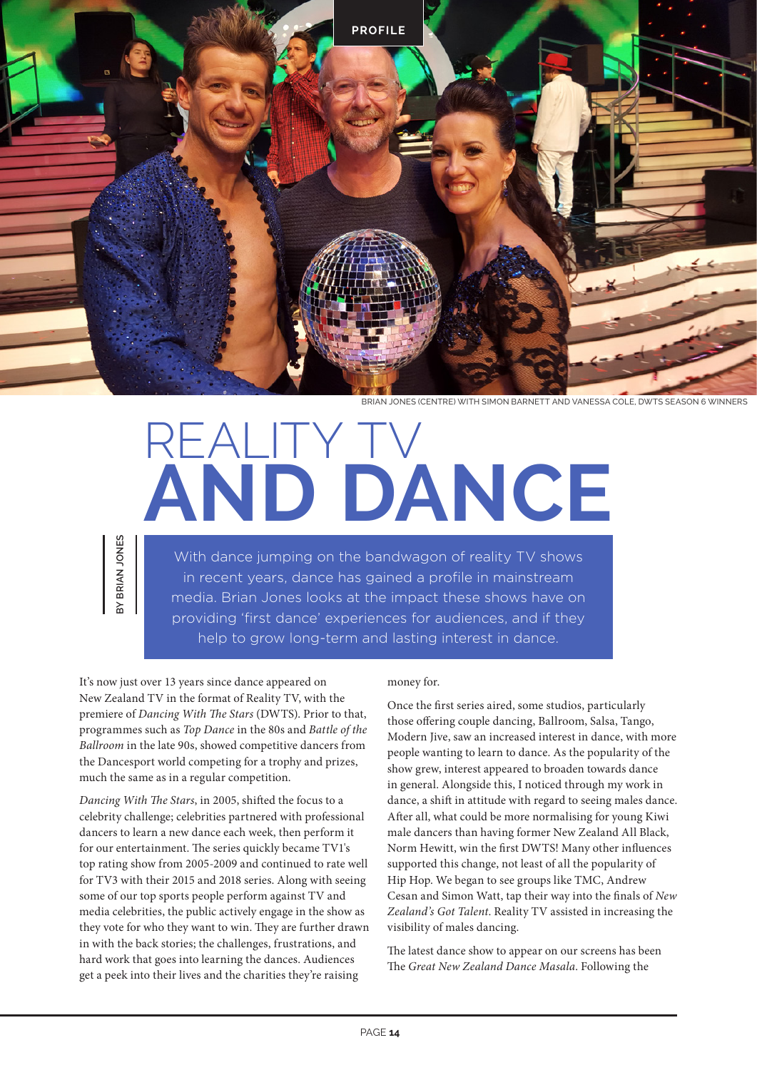

BRIAN JONES (CENTRE) WITH SIMON BARNETT AND VANESSA COLE, DWTS SEASON 6 WINNERS

## REALITY TV **AND DANCE**

With dance jumping on the bandwagon of reality TV shows in recent years, dance has gained a profile in mainstream media. Brian Jones looks at the impact these shows have on providing 'first dance' experiences for audiences, and if they help to grow long-term and lasting interest in dance.

It's now just over 13 years since dance appeared on New Zealand TV in the format of Reality TV, with the premiere of *Dancing With The Stars* (DWTS). Prior to that, programmes such as *Top Dance* in the 80s and *Battle of the Ballroom* in the late 90s, showed competitive dancers from the Dancesport world competing for a trophy and prizes, much the same as in a regular competition.

**BY BRIAN JONES**

BRIAN JONES

*Dancing With The Stars*, in 2005, shifted the focus to a celebrity challenge; celebrities partnered with professional dancers to learn a new dance each week, then perform it for our entertainment. The series quickly became TV1's top rating show from 2005-2009 and continued to rate well for TV3 with their 2015 and 2018 series. Along with seeing some of our top sports people perform against TV and media celebrities, the public actively engage in the show as they vote for who they want to win. They are further drawn in with the back stories; the challenges, frustrations, and hard work that goes into learning the dances. Audiences get a peek into their lives and the charities they're raising

## money for.

Once the first series aired, some studios, particularly those offering couple dancing, Ballroom, Salsa, Tango, Modern Jive, saw an increased interest in dance, with more people wanting to learn to dance. As the popularity of the show grew, interest appeared to broaden towards dance in general. Alongside this, I noticed through my work in dance, a shift in attitude with regard to seeing males dance. After all, what could be more normalising for young Kiwi male dancers than having former New Zealand All Black, Norm Hewitt, win the first DWTS! Many other influences supported this change, not least of all the popularity of Hip Hop. We began to see groups like TMC, Andrew Cesan and Simon Watt, tap their way into the finals of *New Zealand's Got Talent*. Reality TV assisted in increasing the visibility of males dancing.

The latest dance show to appear on our screens has been The *Great New Zealand Dance Masala*. Following the